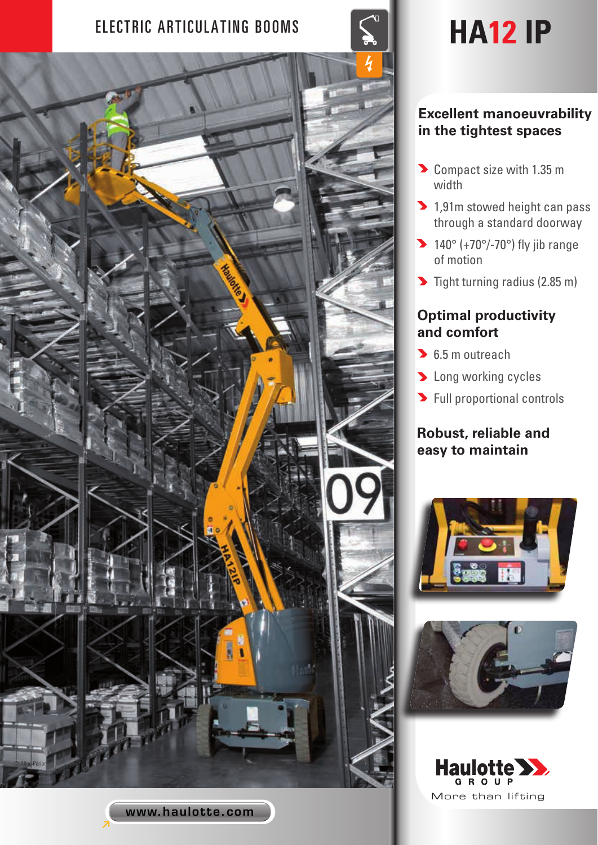# ELECTRIC ARTICULATING BOOMS **SAULT 19 HA12 IP**



www.haulotte.com

### **Excellent manoeuvrability in the tightest spaces**

- Compact size with 1.35 m width
- 1,91m stowed height can pass through a standard doorway
- $\blacktriangleright$  140° (+70°/-70°) fly jib range of motion
- $\blacktriangleright$  Tight turning radius (2.85 m)

## **Optimal productivity and comfort**

- **6.5 m outreach**
- **Long working cycles**
- **>** Full proportional controls

# **Robust, reliable and easy to maintain**